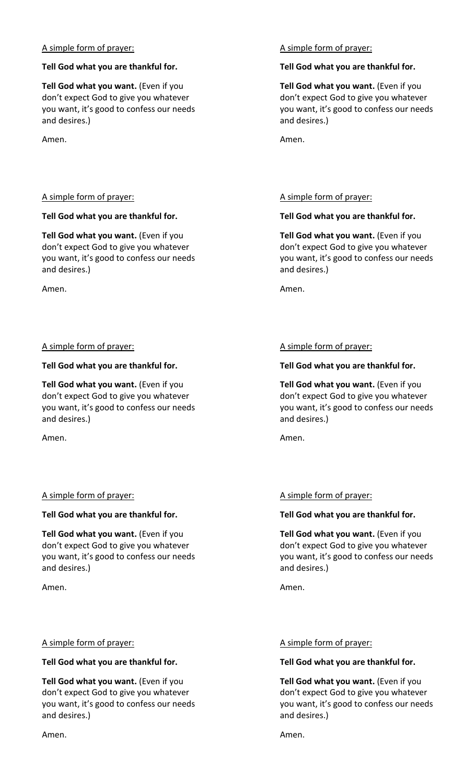## A simple form of prayer:

#### **Tell God what you are thankful for.**

**Tell God what you want.** (Even if you don't expect God to give you whatever you want, it's good to confess our needs and desires.)

Amen.

# A simple form of prayer:

## **Tell God what you are thankful for.**

**Tell God what you want.** (Even if you don't expect God to give you whatever you want, it's good to confess our needs and desires.)

Amen.

## A simple form of prayer:

## **Tell God what you are thankful for.**

**Tell God what you want.** (Even if you don't expect God to give you whatever you want, it's good to confess our needs and desires.)

Amen.

# A simple form of prayer:

#### **Tell God what you are thankful for.**

**Tell God what you want.** (Even if you don't expect God to give you whatever you want, it's good to confess our needs and desires.)

Amen.

# A simple form of prayer:

#### **Tell God what you are thankful for.**

**Tell God what you want.** (Even if you don't expect God to give you whatever you want, it's good to confess our needs and desires.)

Amen.

# A simple form of prayer:

## **Tell God what you are thankful for.**

**Tell God what you want.** (Even if you don't expect God to give you whatever you want, it's good to confess our needs and desires.)

Amen.

## A simple form of prayer:

## **Tell God what you are thankful for.**

**Tell God what you want.** (Even if you don't expect God to give you whatever you want, it's good to confess our needs and desires.)

Amen.

# A simple form of prayer:

## **Tell God what you are thankful for.**

**Tell God what you want.** (Even if you don't expect God to give you whatever you want, it's good to confess our needs and desires.)

Amen.

# A simple form of prayer:

# **Tell God what you are thankful for.**

**Tell God what you want.** (Even if you don't expect God to give you whatever you want, it's good to confess our needs and desires.)

Amen.

# A simple form of prayer:

#### **Tell God what you are thankful for.**

**Tell God what you want.** (Even if you don't expect God to give you whatever you want, it's good to confess our needs and desires.)

Amen.